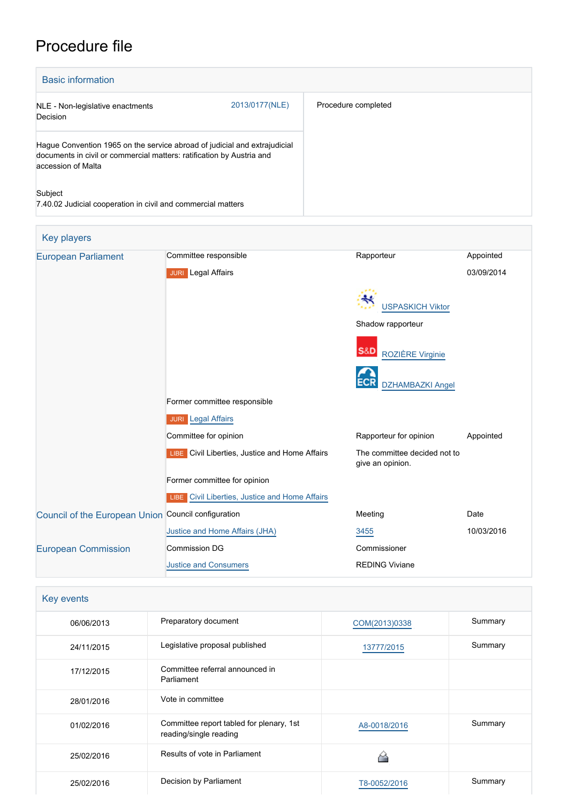# Procedure file

| <b>Basic information</b>                                                                                                                                                 |                |                     |
|--------------------------------------------------------------------------------------------------------------------------------------------------------------------------|----------------|---------------------|
| NLE - Non-legislative enactments<br>Decision                                                                                                                             | 2013/0177(NLE) | Procedure completed |
| Hague Convention 1965 on the service abroad of judicial and extrajudicial<br>documents in civil or commercial matters: ratification by Austria and<br>accession of Malta |                |                     |
| Subject<br>7.40.02 Judicial cooperation in civil and commercial matters                                                                                                  |                |                     |

| <b>Key players</b>                                  |                                                |                                                  |            |
|-----------------------------------------------------|------------------------------------------------|--------------------------------------------------|------------|
| <b>European Parliament</b>                          | Committee responsible                          | Rapporteur                                       | Appointed  |
|                                                     | <b>JURI</b> Legal Affairs                      |                                                  | 03/09/2014 |
|                                                     |                                                | <b>USPASKICH Viktor</b><br>Shadow rapporteur     |            |
|                                                     |                                                | <b>S&amp;D</b><br>ROZIÈRE Virginie               |            |
|                                                     |                                                | <b>ECR</b><br><b>DZHAMBAZKI Angel</b>            |            |
|                                                     | Former committee responsible                   |                                                  |            |
|                                                     | <b>JURI</b> Legal Affairs                      |                                                  |            |
|                                                     | Committee for opinion                          | Rapporteur for opinion                           | Appointed  |
|                                                     | LIBE Civil Liberties, Justice and Home Affairs | The committee decided not to<br>give an opinion. |            |
|                                                     | Former committee for opinion                   |                                                  |            |
|                                                     | LIBE Civil Liberties, Justice and Home Affairs |                                                  |            |
| Council of the European Union Council configuration |                                                | Meeting                                          | Date       |
|                                                     | Justice and Home Affairs (JHA)                 | 3455                                             | 10/03/2016 |
| <b>European Commission</b>                          | <b>Commission DG</b>                           | Commissioner                                     |            |
|                                                     | <b>Justice and Consumers</b>                   | <b>REDING Viviane</b>                            |            |

| Key events |                                                                    |               |         |
|------------|--------------------------------------------------------------------|---------------|---------|
| 06/06/2013 | Preparatory document                                               | COM(2013)0338 | Summary |
| 24/11/2015 | Legislative proposal published                                     | 13777/2015    | Summary |
| 17/12/2015 | Committee referral announced in<br>Parliament                      |               |         |
| 28/01/2016 | Vote in committee                                                  |               |         |
| 01/02/2016 | Committee report tabled for plenary, 1st<br>reading/single reading | A8-0018/2016  | Summary |
| 25/02/2016 | Results of vote in Parliament                                      |               |         |
| 25/02/2016 | Decision by Parliament                                             | T8-0052/2016  | Summary |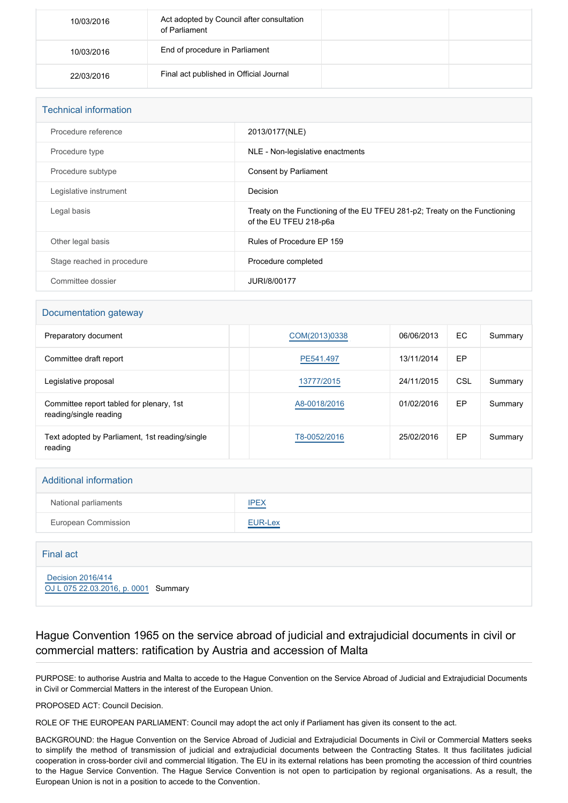| 10/03/2016 | Act adopted by Council after consultation<br>of Parliament |  |
|------------|------------------------------------------------------------|--|
| 10/03/2016 | End of procedure in Parliament                             |  |
| 22/03/2016 | Final act published in Official Journal                    |  |

| <b>Technical information</b> |                                                                                                      |
|------------------------------|------------------------------------------------------------------------------------------------------|
| Procedure reference          | 2013/0177(NLE)                                                                                       |
| Procedure type               | NLE - Non-legislative enactments                                                                     |
| Procedure subtype            | Consent by Parliament                                                                                |
| Legislative instrument       | Decision                                                                                             |
| Legal basis                  | Treaty on the Functioning of the EU TFEU 281-p2; Treaty on the Functioning<br>of the EU TFEU 218-p6a |
| Other legal basis            | Rules of Procedure EP 159                                                                            |
| Stage reached in procedure   | Procedure completed                                                                                  |
| Committee dossier            | JURI/8/00177                                                                                         |

#### Documentation gateway

| Preparatory document                                               | COM(2013)0338 | 06/06/2013 | EC  | Summary |
|--------------------------------------------------------------------|---------------|------------|-----|---------|
| Committee draft report                                             | PE541.497     | 13/11/2014 | EP  |         |
| Legislative proposal                                               | 13777/2015    | 24/11/2015 | CSL | Summary |
| Committee report tabled for plenary, 1st<br>reading/single reading | A8-0018/2016  | 01/02/2016 | EP  | Summary |
| Text adopted by Parliament, 1st reading/single<br>reading          | T8-0052/2016  | 25/02/2016 | EP  | Summary |

#### Additional information

| National parliaments | <b>IPEX</b> |
|----------------------|-------------|
| European Commission  | EUR-Lex     |

## Final act  [Decision 2016/414](https://eur-lex.europa.eu/smartapi/cgi/sga_doc?smartapi!celexplus!prod!CELEXnumdoc&lg=EN&numdoc=32016D0414) [OJ L 075 22.03.2016, p. 0001](https://eur-lex.europa.eu/legal-content/EN/TXT/?uri=OJ:L:2016:075:TOC) Summary

### Hague Convention 1965 on the service abroad of judicial and extrajudicial documents in civil or commercial matters: ratification by Austria and accession of Malta

PURPOSE: to authorise Austria and Malta to accede to the Hague Convention on the Service Abroad of Judicial and Extrajudicial Documents in Civil or Commercial Matters in the interest of the European Union.

PROPOSED ACT: Council Decision.

ROLE OF THE EUROPEAN PARLIAMENT: Council may adopt the act only if Parliament has given its consent to the act.

BACKGROUND: the Hague Convention on the Service Abroad of Judicial and Extrajudicial Documents in Civil or Commercial Matters seeks to simplify the method of transmission of judicial and extrajudicial documents between the Contracting States. It thus facilitates judicial cooperation in cross-border civil and commercial litigation. The EU in its external relations has been promoting the accession of third countries to the Hague Service Convention. The Hague Service Convention is not open to participation by regional organisations. As a result, the European Union is not in a position to accede to the Convention.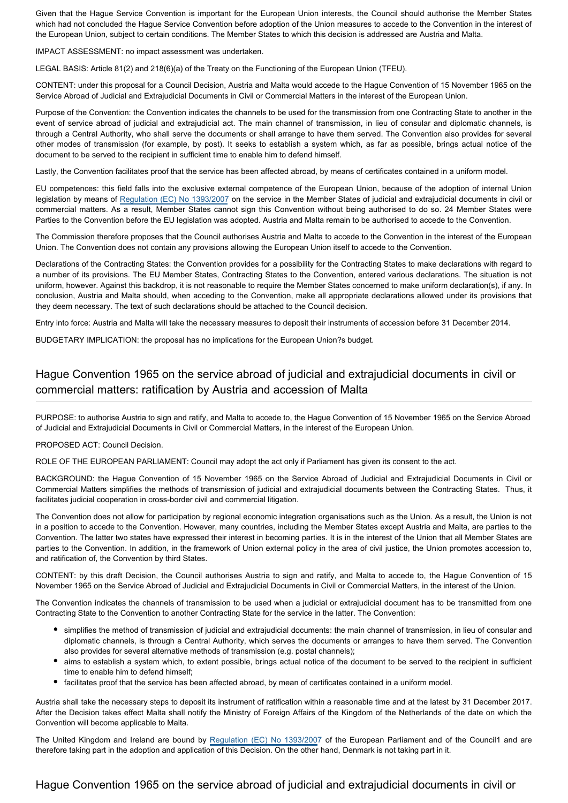Given that the Hague Service Convention is important for the European Union interests, the Council should authorise the Member States which had not concluded the Hague Service Convention before adoption of the Union measures to accede to the Convention in the interest of the European Union, subject to certain conditions. The Member States to which this decision is addressed are Austria and Malta.

IMPACT ASSESSMENT: no impact assessment was undertaken.

LEGAL BASIS: Article 81(2) and 218(6)(a) of the Treaty on the Functioning of the European Union (TFEU).

CONTENT: under this proposal for a Council Decision, Austria and Malta would accede to the Hague Convention of 15 November 1965 on the Service Abroad of Judicial and Extrajudicial Documents in Civil or Commercial Matters in the interest of the European Union.

Purpose of the Convention: the Convention indicates the channels to be used for the transmission from one Contracting State to another in the event of service abroad of judicial and extrajudicial act. The main channel of transmission, in lieu of consular and diplomatic channels, is through a Central Authority, who shall serve the documents or shall arrange to have them served. The Convention also provides for several other modes of transmission (for example, by post). It seeks to establish a system which, as far as possible, brings actual notice of the document to be served to the recipient in sufficient time to enable him to defend himself.

Lastly, the Convention facilitates proof that the service has been affected abroad, by means of certificates contained in a uniform model.

EU competences: this field falls into the exclusive external competence of the European Union, because of the adoption of internal Union legislation by means of [Regulation \(EC\) No 1393/2007](http://www.europarl.europa.eu/oeil/popups/ficheprocedure.do?lang=EN&reference=2005/0126(COD)) on the service in the Member States of judicial and extrajudicial documents in civil or commercial matters. As a result, Member States cannot sign this Convention without being authorised to do so. 24 Member States were Parties to the Convention before the EU legislation was adopted. Austria and Malta remain to be authorised to accede to the Convention.

The Commission therefore proposes that the Council authorises Austria and Malta to accede to the Convention in the interest of the European Union. The Convention does not contain any provisions allowing the European Union itself to accede to the Convention.

Declarations of the Contracting States: the Convention provides for a possibility for the Contracting States to make declarations with regard to a number of its provisions. The EU Member States, Contracting States to the Convention, entered various declarations. The situation is not uniform, however. Against this backdrop, it is not reasonable to require the Member States concerned to make uniform declaration(s), if any. In conclusion, Austria and Malta should, when acceding to the Convention, make all appropriate declarations allowed under its provisions that they deem necessary. The text of such declarations should be attached to the Council decision.

Entry into force: Austria and Malta will take the necessary measures to deposit their instruments of accession before 31 December 2014.

BUDGETARY IMPLICATION: the proposal has no implications for the European Union?s budget.

## Hague Convention 1965 on the service abroad of judicial and extrajudicial documents in civil or commercial matters: ratification by Austria and accession of Malta

PURPOSE: to authorise Austria to sign and ratify, and Malta to accede to, the Hague Convention of 15 November 1965 on the Service Abroad of Judicial and Extrajudicial Documents in Civil or Commercial Matters, in the interest of the European Union.

PROPOSED ACT: Council Decision.

ROLE OF THE EUROPEAN PARLIAMENT: Council may adopt the act only if Parliament has given its consent to the act.

BACKGROUND: the Hague Convention of 15 November 1965 on the Service Abroad of Judicial and Extrajudicial Documents in Civil or Commercial Matters simplifies the methods of transmission of judicial and extrajudicial documents between the Contracting States. Thus, it facilitates judicial cooperation in cross-border civil and commercial litigation.

The Convention does not allow for participation by regional economic integration organisations such as the Union. As a result, the Union is not in a position to accede to the Convention. However, many countries, including the Member States except Austria and Malta, are parties to the Convention. The latter two states have expressed their interest in becoming parties. It is in the interest of the Union that all Member States are parties to the Convention. In addition, in the framework of Union external policy in the area of civil justice, the Union promotes accession to, and ratification of, the Convention by third States.

CONTENT: by this draft Decision, the Council authorises Austria to sign and ratify, and Malta to accede to, the Hague Convention of 15 November 1965 on the Service Abroad of Judicial and Extrajudicial Documents in Civil or Commercial Matters, in the interest of the Union.

The Convention indicates the channels of transmission to be used when a judicial or extrajudicial document has to be transmitted from one Contracting State to the Convention to another Contracting State for the service in the latter. The Convention:

- simplifies the method of transmission of judicial and extrajudicial documents: the main channel of transmission, in lieu of consular and diplomatic channels, is through a Central Authority, which serves the documents or arranges to have them served. The Convention also provides for several alternative methods of transmission (e.g. postal channels);
- aims to establish a system which, to extent possible, brings actual notice of the document to be served to the recipient in sufficient time to enable him to defend himself;
- facilitates proof that the service has been affected abroad, by mean of certificates contained in a uniform model.

Austria shall take the necessary steps to deposit its instrument of ratification within a reasonable time and at the latest by 31 December 2017. After the Decision takes effect Malta shall notify the Ministry of Foreign Affairs of the Kingdom of the Netherlands of the date on which the Convention will become applicable to Malta.

The United Kingdom and Ireland are bound by [Regulation \(EC\) No 1393/2007](http://www.europarl.europa.eu/oeil/popups/ficheprocedure.do?reference=2005/0126(COD)&l=en) of the European Parliament and of the Council1 and are therefore taking part in the adoption and application of this Decision. On the other hand, Denmark is not taking part in it.